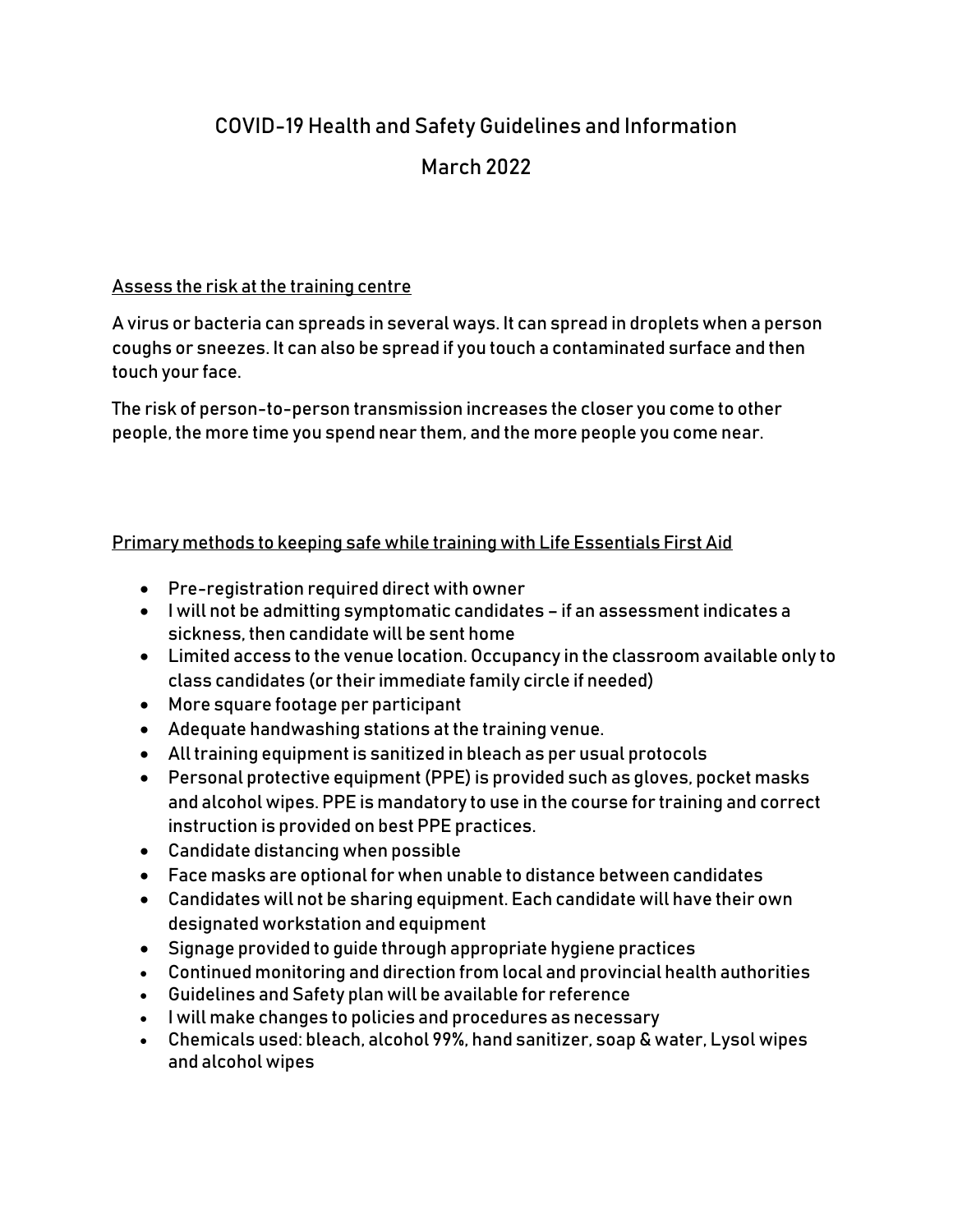# COVID-19 Health and Safety Guidelines and Information March 2022

## Assess the risk at the training centre

A virus or bacteria can spreads in several ways. It can spread in droplets when a person coughs or sneezes. It can also be spread if you touch a contaminated surface and then touch your face.

The risk of person-to-person transmission increases the closer you come to other people, the more time you spend near them, and the more people you come near.

# Primary methods to keeping safe while training with Life Essentials First Aid

- Pre-registration required direct with owner
- I will not be admitting symptomatic candidates if an assessment indicates a sickness, then candidate will be sent home
- Limited access to the venue location. Occupancy in the classroom available only to class candidates (or their immediate family circle if needed)
- More square footage per participant
- Adequate handwashing stations at the training venue.
- All training equipment is sanitized in bleach as per usual protocols
- Personal protective equipment (PPE) is provided such as gloves, pocket masks and alcohol wipes. PPE is mandatory to use in the course for training and correct instruction is provided on best PPE practices.
- Candidate distancing when possible
- Face masks are optional for when unable to distance between candidates
- Candidates will not be sharing equipment. Each candidate will have their own designated workstation and equipment
- Signage provided to guide through appropriate hygiene practices
- Continued monitoring and direction from local and provincial health authorities
- Guidelines and Safety plan will be available for reference
- I will make changes to policies and procedures as necessary
- Chemicals used: bleach, alcohol 99%, hand sanitizer, soap & water, Lysol wipes and alcohol wipes